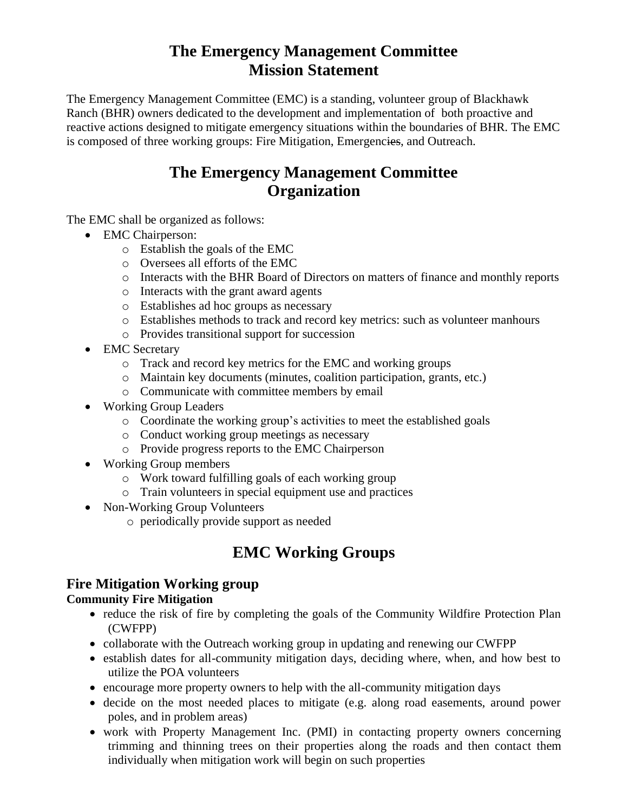# **The Emergency Management Committee Mission Statement**

The Emergency Management Committee (EMC) is a standing, volunteer group of Blackhawk Ranch (BHR) owners dedicated to the development and implementation of both proactive and reactive actions designed to mitigate emergency situations within the boundaries of BHR. The EMC is composed of three working groups: Fire Mitigation, Emergencies, and Outreach.

# **The Emergency Management Committee Organization**

The EMC shall be organized as follows:

- EMC Chairperson:
	- o Establish the goals of the EMC
	- o Oversees all efforts of the EMC
	- o Interacts with the BHR Board of Directors on matters of finance and monthly reports
	- o Interacts with the grant award agents
	- o Establishes ad hoc groups as necessary
	- o Establishes methods to track and record key metrics: such as volunteer manhours
	- o Provides transitional support for succession
- EMC Secretary
	- o Track and record key metrics for the EMC and working groups
	- o Maintain key documents (minutes, coalition participation, grants, etc.)
	- o Communicate with committee members by email
- Working Group Leaders
	- o Coordinate the working group's activities to meet the established goals
	- o Conduct working group meetings as necessary
	- o Provide progress reports to the EMC Chairperson
- Working Group members
	- o Work toward fulfilling goals of each working group
	- o Train volunteers in special equipment use and practices
- Non-Working Group Volunteers
	- o periodically provide support as needed

# **EMC Working Groups**

## **Fire Mitigation Working group**

### **Community Fire Mitigation**

- reduce the risk of fire by completing the goals of the Community Wildfire Protection Plan (CWFPP)
- collaborate with the Outreach working group in updating and renewing our CWFPP
- establish dates for all-community mitigation days, deciding where, when, and how best to utilize the POA volunteers
- encourage more property owners to help with the all-community mitigation days
- decide on the most needed places to mitigate (e.g. along road easements, around power poles, and in problem areas)
- work with Property Management Inc. (PMI) in contacting property owners concerning trimming and thinning trees on their properties along the roads and then contact them individually when mitigation work will begin on such properties